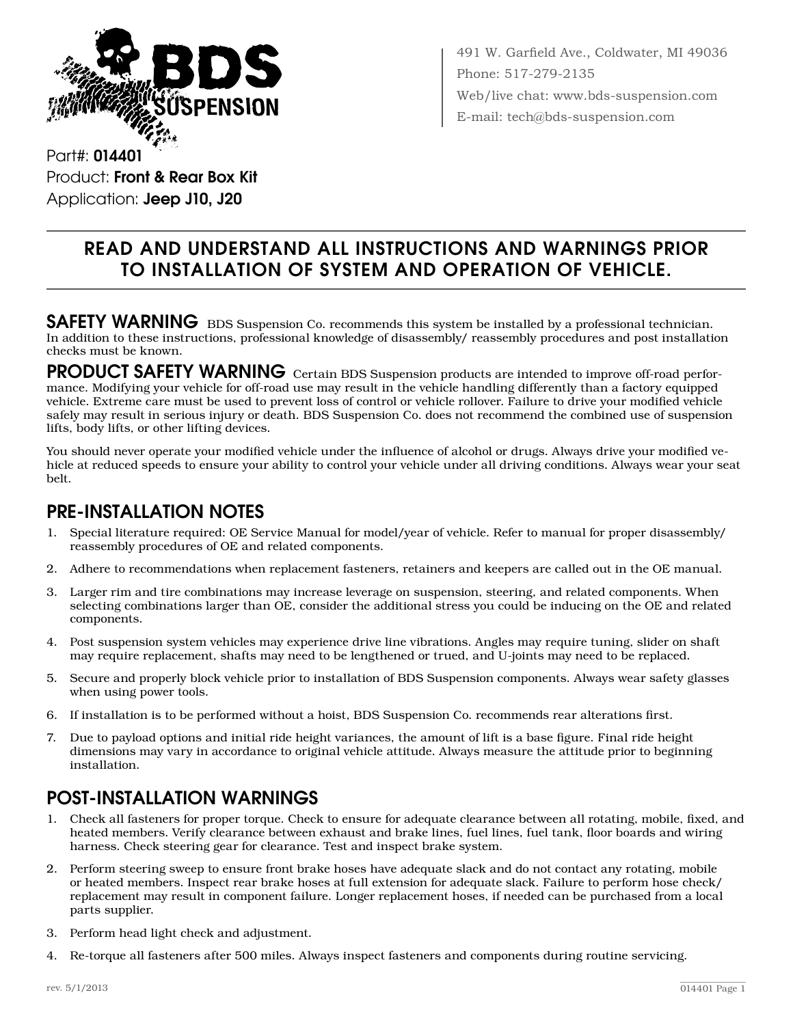

491 W. Garfield Ave., Coldwater, MI 49036 Phone: 517-279-2135 Web/live chat: www.bds-suspension.com E-mail: tech@bds-suspension.com

Part#: 014401 Product: Front & Rear Box Kit Application: Jeep J10, J20

# Read and understand all instructions and warnings prior to installation of system and operation of vehicle.

SAFETY WARNING BDS Suspension Co. recommends this system be installed by a professional technician. In addition to these instructions, professional knowledge of disassembly/ reassembly procedures and post installation checks must be known.

PRODUCT SAFETY WARNING Certain BDS Suspension products are intended to improve off-road performance. Modifying your vehicle for off-road use may result in the vehicle handling differently than a factory equipped vehicle. Extreme care must be used to prevent loss of control or vehicle rollover. Failure to drive your modified vehicle safely may result in serious injury or death. BDS Suspension Co. does not recommend the combined use of suspension lifts, body lifts, or other lifting devices.

You should never operate your modified vehicle under the influence of alcohol or drugs. Always drive your modified vehicle at reduced speeds to ensure your ability to control your vehicle under all driving conditions. Always wear your seat belt.

# Pre-Installation Notes

- 1. Special literature required: OE Service Manual for model/year of vehicle. Refer to manual for proper disassembly/ reassembly procedures of OE and related components.
- 2. Adhere to recommendations when replacement fasteners, retainers and keepers are called out in the OE manual.
- 3. Larger rim and tire combinations may increase leverage on suspension, steering, and related components. When selecting combinations larger than OE, consider the additional stress you could be inducing on the OE and related components.
- 4. Post suspension system vehicles may experience drive line vibrations. Angles may require tuning, slider on shaft may require replacement, shafts may need to be lengthened or trued, and U-joints may need to be replaced.
- 5. Secure and properly block vehicle prior to installation of BDS Suspension components. Always wear safety glasses when using power tools.
- 6. If installation is to be performed without a hoist, BDS Suspension Co. recommends rear alterations first.
- 7. Due to payload options and initial ride height variances, the amount of lift is a base figure. Final ride height dimensions may vary in accordance to original vehicle attitude. Always measure the attitude prior to beginning installation.

# POST-INSTALLATION WARNINGS

- 1. Check all fasteners for proper torque. Check to ensure for adequate clearance between all rotating, mobile, fixed, and heated members. Verify clearance between exhaust and brake lines, fuel lines, fuel tank, floor boards and wiring harness. Check steering gear for clearance. Test and inspect brake system.
- 2. Perform steering sweep to ensure front brake hoses have adequate slack and do not contact any rotating, mobile or heated members. Inspect rear brake hoses at full extension for adequate slack. Failure to perform hose check/ replacement may result in component failure. Longer replacement hoses, if needed can be purchased from a local parts supplier.
- 3. Perform head light check and adjustment.
- 4. Re-torque all fasteners after 500 miles. Always inspect fasteners and components during routine servicing.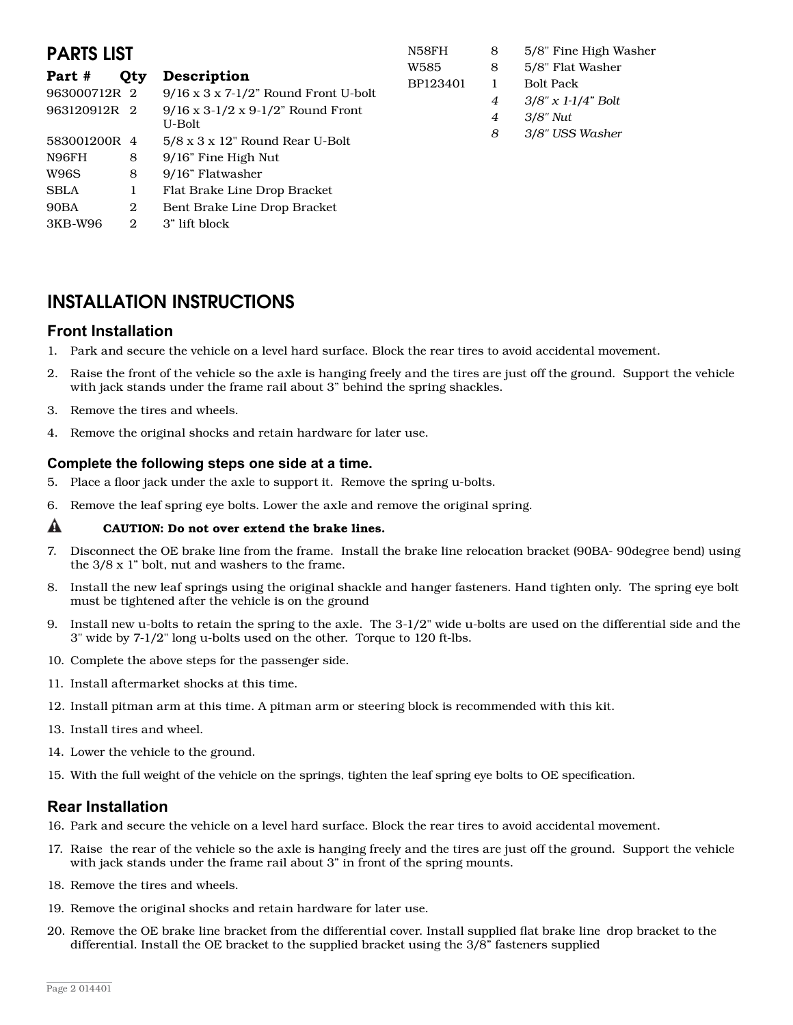| <b>PARTS LIST</b>                      |        |                                                                                                                                  | N58FH            | 8                | 5/8" Fine High Washer                                                                        |
|----------------------------------------|--------|----------------------------------------------------------------------------------------------------------------------------------|------------------|------------------|----------------------------------------------------------------------------------------------|
| Part #<br>963000712R 2<br>963120912R 2 | Qty    | Description<br>$9/16 \times 3 \times 7-1/2$ " Round Front U-bolt<br>$9/16 \times 3 - 1/2 \times 9 - 1/2$ " Round Front<br>U-Bolt | W585<br>BP123401 | 8<br>4<br>4<br>8 | 5/8" Flat Washer<br><b>Bolt Pack</b><br>$3/8''$ x 1-1/4" Bolt<br>3/8″ Nut<br>3/8" USS Washer |
| 583001200R 4<br>N96FH                  | 8      | $5/8 \times 3 \times 12$ " Round Rear U-Bolt<br>9/16" Fine High Nut                                                              |                  |                  |                                                                                              |
| W96S                                   | 8      | 9/16" Flatwasher                                                                                                                 |                  |                  |                                                                                              |
| <b>SBLA</b><br>90BA                    | 1<br>2 | Flat Brake Line Drop Bracket<br>Bent Brake Line Drop Bracket                                                                     |                  |                  |                                                                                              |
| 3KB-W96                                | 2      | 3" lift block                                                                                                                    |                  |                  |                                                                                              |

## Installation Instructions

## **Front Installation**

- 1. Park and secure the vehicle on a level hard surface. Block the rear tires to avoid accidental movement.
- 2. Raise the front of the vehicle so the axle is hanging freely and the tires are just off the ground. Support the vehicle with jack stands under the frame rail about 3" behind the spring shackles.
- 3. Remove the tires and wheels.
- 4. Remove the original shocks and retain hardware for later use.

### **Complete the following steps one side at a time.**

- 5. Place a floor jack under the axle to support it. Remove the spring u-bolts.
- 6. Remove the leaf spring eye bolts. Lower the axle and remove the original spring.

#### A CAUTION: Do not over extend the brake lines.

- 7. Disconnect the OE brake line from the frame. Install the brake line relocation bracket (90BA- 90degree bend) using the 3/8 x 1" bolt, nut and washers to the frame.
- 8. Install the new leaf springs using the original shackle and hanger fasteners. Hand tighten only. The spring eye bolt must be tightened after the vehicle is on the ground
- 9. Install new u-bolts to retain the spring to the axle. The 3-1/2" wide u-bolts are used on the differential side and the 3" wide by 7-1/2" long u-bolts used on the other. Torque to 120 ft-lbs.
- 10. Complete the above steps for the passenger side.
- 11. Install aftermarket shocks at this time.
- 12. Install pitman arm at this time. A pitman arm or steering block is recommended with this kit.
- 13. Install tires and wheel.
- 14. Lower the vehicle to the ground.
- 15. With the full weight of the vehicle on the springs, tighten the leaf spring eye bolts to OE specification.

## **Rear Installation**

- 16. Park and secure the vehicle on a level hard surface. Block the rear tires to avoid accidental movement.
- 17. Raise the rear of the vehicle so the axle is hanging freely and the tires are just off the ground. Support the vehicle with jack stands under the frame rail about 3" in front of the spring mounts.
- 18. Remove the tires and wheels.
- 19. Remove the original shocks and retain hardware for later use.
- 20. Remove the OE brake line bracket from the differential cover. Install supplied flat brake line drop bracket to the differential. Install the OE bracket to the supplied bracket using the 3/8" fasteners supplied